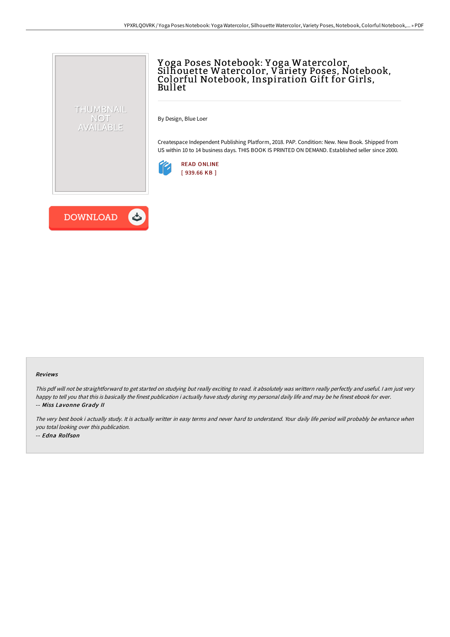

## Y oga Poses Notebook: Y oga Watercolor, Silhouette Watercolor, Variety Poses, Notebook, Colorful Notebook, Inspiration Gift for Girls, Bullet

By Design, Blue Loer

Createspace Independent Publishing Platform, 2018. PAP. Condition: New. New Book. Shipped from US within 10 to 14 business days. THIS BOOK IS PRINTED ON DEMAND. Established seller since 2000.





## Reviews

This pdf will not be straightforward to get started on studying but really exciting to read. it absolutely was writtern really perfectly and useful. <sup>I</sup> am just very happy to tell you that this is basically the finest publication i actually have study during my personal daily life and may be he finest ebook for ever. -- Miss Lavonne Grady II

The very best book i actually study. It is actually writter in easy terms and never hard to understand. Your daily life period will probably be enhance when you total looking over this publication. -- Edna Rolfson